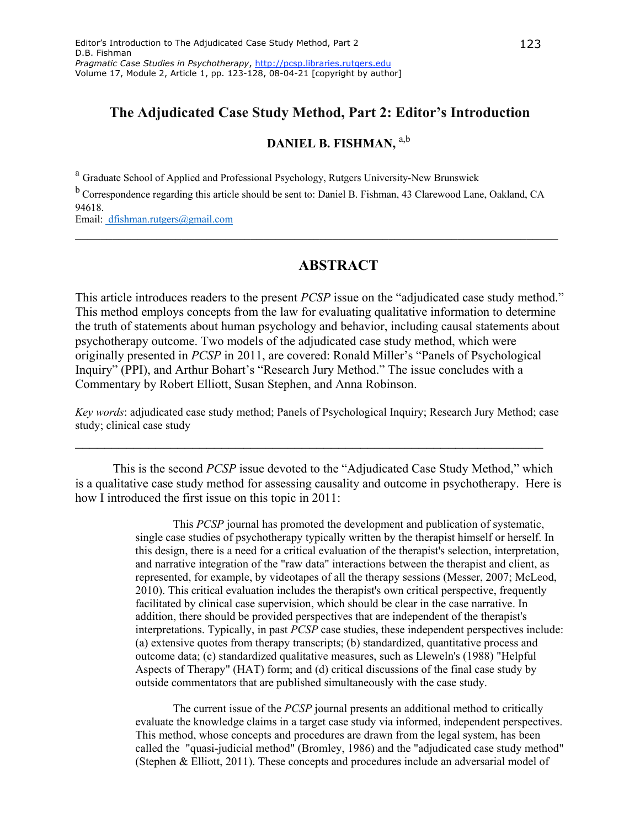# **The Adjudicated Case Study Method, Part 2: Editor's Introduction**

# **DANIEL B. FISHMAN,** a,b

<sup>a</sup> Graduate School of Applied and Professional Psychology, Rutgers University-New Brunswick

b Correspondence regarding this article should be sent to: Daniel B. Fishman, 43 Clarewood Lane, Oakland, CA 94618.

\_\_\_\_\_\_\_\_\_\_\_\_\_\_\_\_\_\_\_\_\_\_\_\_\_\_\_\_\_\_\_\_\_\_\_\_\_\_\_\_\_\_\_\_\_\_\_\_\_\_\_\_\_\_\_\_\_\_\_\_\_\_\_\_\_\_\_\_\_\_\_\_\_\_\_\_\_

Email: dfishman.rutgers@gmail.com

### **ABSTRACT**

This article introduces readers to the present *PCSP* issue on the "adjudicated case study method." This method employs concepts from the law for evaluating qualitative information to determine the truth of statements about human psychology and behavior, including causal statements about psychotherapy outcome. Two models of the adjudicated case study method, which were originally presented in *PCSP* in 2011, are covered: Ronald Miller's "Panels of Psychological Inquiry" (PPI), and Arthur Bohart's "Research Jury Method." The issue concludes with a Commentary by Robert Elliott, Susan Stephen, and Anna Robinson.

*Key words*: adjudicated case study method; Panels of Psychological Inquiry; Research Jury Method; case study; clinical case study

\_\_\_\_\_\_\_\_\_\_\_\_\_\_\_\_\_\_\_\_\_\_\_\_\_\_\_\_\_\_\_\_\_\_\_\_\_\_\_\_\_\_\_\_\_\_\_\_\_\_\_\_\_\_\_\_\_\_\_\_\_\_\_\_

This is the second *PCSP* issue devoted to the "Adjudicated Case Study Method," which is a qualitative case study method for assessing causality and outcome in psychotherapy. Here is how I introduced the first issue on this topic in 2011:

> This *PCSP* journal has promoted the development and publication of systematic, single case studies of psychotherapy typically written by the therapist himself or herself. In this design, there is a need for a critical evaluation of the therapist's selection, interpretation, and narrative integration of the "raw data" interactions between the therapist and client, as represented, for example, by videotapes of all the therapy sessions (Messer, 2007; McLeod, 2010). This critical evaluation includes the therapist's own critical perspective, frequently facilitated by clinical case supervision, which should be clear in the case narrative. In addition, there should be provided perspectives that are independent of the therapist's interpretations. Typically, in past *PCSP* case studies, these independent perspectives include: (a) extensive quotes from therapy transcripts; (b) standardized, quantitative process and outcome data; (c) standardized qualitative measures, such as Lleweln's (1988) "Helpful Aspects of Therapy" (HAT) form; and (d) critical discussions of the final case study by outside commentators that are published simultaneously with the case study.

> The current issue of the *PCSP* journal presents an additional method to critically evaluate the knowledge claims in a target case study via informed, independent perspectives. This method, whose concepts and procedures are drawn from the legal system, has been called the "quasi-judicial method" (Bromley, 1986) and the "adjudicated case study method" (Stephen & Elliott, 2011). These concepts and procedures include an adversarial model of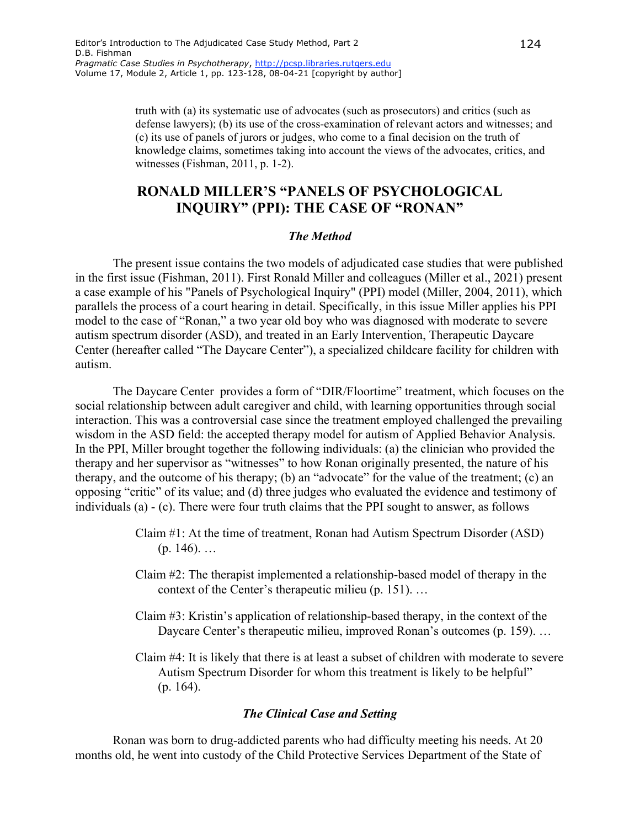truth with (a) its systematic use of advocates (such as prosecutors) and critics (such as defense lawyers); (b) its use of the cross-examination of relevant actors and witnesses; and (c) its use of panels of jurors or judges, who come to a final decision on the truth of knowledge claims, sometimes taking into account the views of the advocates, critics, and witnesses (Fishman, 2011, p. 1-2).

# **RONALD MILLER'S "PANELS OF PSYCHOLOGICAL INQUIRY" (PPI): THE CASE OF "RONAN"**

#### *The Method*

The present issue contains the two models of adjudicated case studies that were published in the first issue (Fishman, 2011). First Ronald Miller and colleagues (Miller et al., 2021) present a case example of his "Panels of Psychological Inquiry" (PPI) model (Miller, 2004, 2011), which parallels the process of a court hearing in detail. Specifically, in this issue Miller applies his PPI model to the case of "Ronan," a two year old boy who was diagnosed with moderate to severe autism spectrum disorder (ASD), and treated in an Early Intervention, Therapeutic Daycare Center (hereafter called "The Daycare Center"), a specialized childcare facility for children with autism.

The Daycare Center provides a form of "DIR/Floortime" treatment, which focuses on the social relationship between adult caregiver and child, with learning opportunities through social interaction. This was a controversial case since the treatment employed challenged the prevailing wisdom in the ASD field: the accepted therapy model for autism of Applied Behavior Analysis. In the PPI, Miller brought together the following individuals: (a) the clinician who provided the therapy and her supervisor as "witnesses" to how Ronan originally presented, the nature of his therapy, and the outcome of his therapy; (b) an "advocate" for the value of the treatment; (c) an opposing "critic" of its value; and (d) three judges who evaluated the evidence and testimony of individuals (a) - (c). There were four truth claims that the PPI sought to answer, as follows

- Claim #1: At the time of treatment, Ronan had Autism Spectrum Disorder (ASD)  $(p. 146)$ . ...
- Claim #2: The therapist implemented a relationship-based model of therapy in the context of the Center's therapeutic milieu (p. 151). …
- Claim #3: Kristin's application of relationship-based therapy, in the context of the Daycare Center's therapeutic milieu, improved Ronan's outcomes (p. 159)...
- Claim #4: It is likely that there is at least a subset of children with moderate to severe Autism Spectrum Disorder for whom this treatment is likely to be helpful" (p. 164).

#### *The Clinical Case and Setting*

Ronan was born to drug-addicted parents who had difficulty meeting his needs. At 20 months old, he went into custody of the Child Protective Services Department of the State of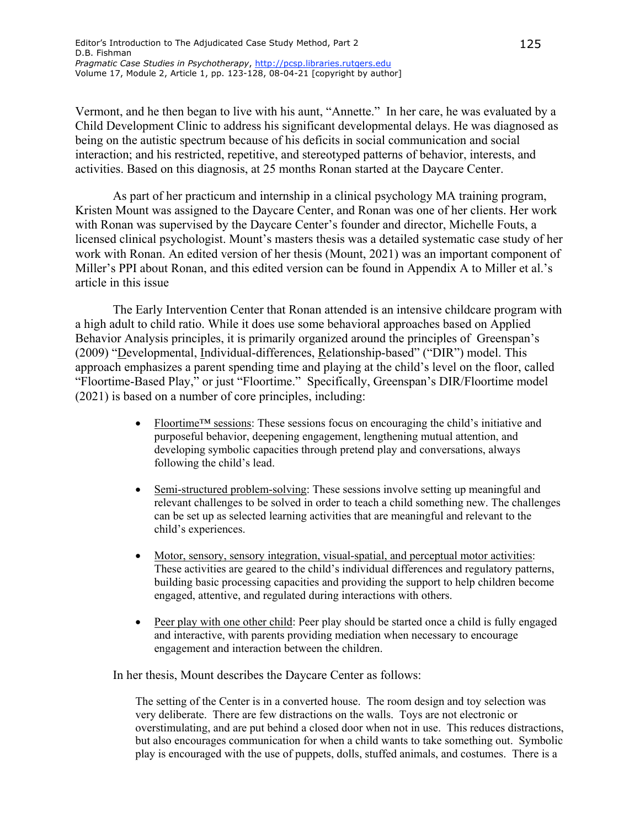Vermont, and he then began to live with his aunt, "Annette." In her care, he was evaluated by a Child Development Clinic to address his significant developmental delays. He was diagnosed as being on the autistic spectrum because of his deficits in social communication and social interaction; and his restricted, repetitive, and stereotyped patterns of behavior, interests, and activities. Based on this diagnosis, at 25 months Ronan started at the Daycare Center.

As part of her practicum and internship in a clinical psychology MA training program, Kristen Mount was assigned to the Daycare Center, and Ronan was one of her clients. Her work with Ronan was supervised by the Daycare Center's founder and director, Michelle Fouts, a licensed clinical psychologist. Mount's masters thesis was a detailed systematic case study of her work with Ronan. An edited version of her thesis (Mount, 2021) was an important component of Miller's PPI about Ronan, and this edited version can be found in Appendix A to Miller et al.'s article in this issue

The Early Intervention Center that Ronan attended is an intensive childcare program with a high adult to child ratio. While it does use some behavioral approaches based on Applied Behavior Analysis principles, it is primarily organized around the principles of Greenspan's (2009) "Developmental, Individual-differences, Relationship-based" ("DIR") model. This approach emphasizes a parent spending time and playing at the child's level on the floor, called "Floortime-Based Play," or just "Floortime." Specifically, Greenspan's DIR/Floortime model (2021) is based on a number of core principles, including:

- Floortime™ sessions: These sessions focus on encouraging the child's initiative and purposeful behavior, deepening engagement, lengthening mutual attention, and developing symbolic capacities through pretend play and conversations, always following the child's lead.
- Semi-structured problem-solving: These sessions involve setting up meaningful and relevant challenges to be solved in order to teach a child something new. The challenges can be set up as selected learning activities that are meaningful and relevant to the child's experiences.
- Motor, sensory, sensory integration, visual-spatial, and perceptual motor activities: These activities are geared to the child's individual differences and regulatory patterns, building basic processing capacities and providing the support to help children become engaged, attentive, and regulated during interactions with others.
- Peer play with one other child: Peer play should be started once a child is fully engaged and interactive, with parents providing mediation when necessary to encourage engagement and interaction between the children.

In her thesis, Mount describes the Daycare Center as follows:

The setting of the Center is in a converted house. The room design and toy selection was very deliberate. There are few distractions on the walls. Toys are not electronic or overstimulating, and are put behind a closed door when not in use. This reduces distractions, but also encourages communication for when a child wants to take something out. Symbolic play is encouraged with the use of puppets, dolls, stuffed animals, and costumes. There is a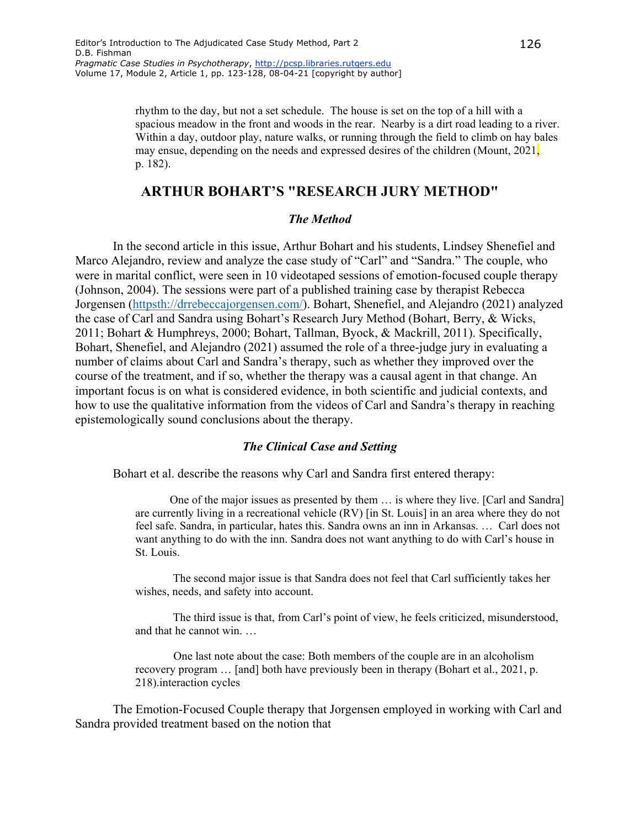rhythm to the day, but not a set schedule. The house is set on the top of a hill with a spacious meadow in the front and woods in the rear. Nearby is a dirt road leading to a river. Within a day, outdoor play, nature walks, or running through the field to climb on hay bales may ensue, depending on the needs and expressed desires of the children (Mount, 2021, p. 182).

### **ARTHUR BOHART'S "RESEARCH JURY METHOD"**

### *The Method*

In the second article in this issue, Arthur Bohart and his students, Lindsey Shenefiel and Marco Alejandro, review and analyze the case study of "Carl" and "Sandra." The couple, who were in marital conflict, were seen in 10 videotaped sessions of emotion-focused couple therapy (Johnson, 2004). The sessions were part of a published training case by therapist Rebecca Jorgensen [\(httpsth://drrebeccajorgensen.com/\)](https://drrebeccajorgensen.com/). Bohart, Shenefiel, and Alejandro (2021) analyzed the case of Carl and Sandra using Bohart's Research Jury Method (Bohart, Berry, & Wicks, 2011; Bohart & Humphreys, 2000; Bohart, Tallman, Byock, & Mackrill, 2011). Specifically, Bohart, Shenefiel, and Alejandro (2021) assumed the role of a three-judge jury in evaluating a number of claims about Carl and Sandra's therapy, such as whether they improved over the course of the treatment, and if so, whether the therapy was a causal agent in that change. An important focus is on what is considered evidence, in both scientific and judicial contexts, and how to use the qualitative information from the videos of Carl and Sandra's therapy in reaching epistemologically sound conclusions about the therapy.

#### *The Clinical Case and Setting*

Bohart et al. describe the reasons why Carl and Sandra first entered therapy:

 One of the major issues as presented by them … is where they live. [Carl and Sandra] are currently living in a recreational vehicle (RV) [in St. Louis] in an area where they do not feel safe. Sandra, in particular, hates this. Sandra owns an inn in Arkansas. … Carl does not want anything to do with the inn. Sandra does not want anything to do with Carl's house in St. Louis.

The second major issue is that Sandra does not feel that Carl sufficiently takes her wishes, needs, and safety into account.

The third issue is that, from Carl's point of view, he feels criticized, misunderstood, and that he cannot win. …

 One last note about the case: Both members of the couple are in an alcoholism recovery program … [and] both have previously been in therapy (Bohart et al., 2021, p. 218).interaction cycles

The Emotion-Focused Couple therapy that Jorgensen employed in working with Carl and Sandra provided treatment based on the notion that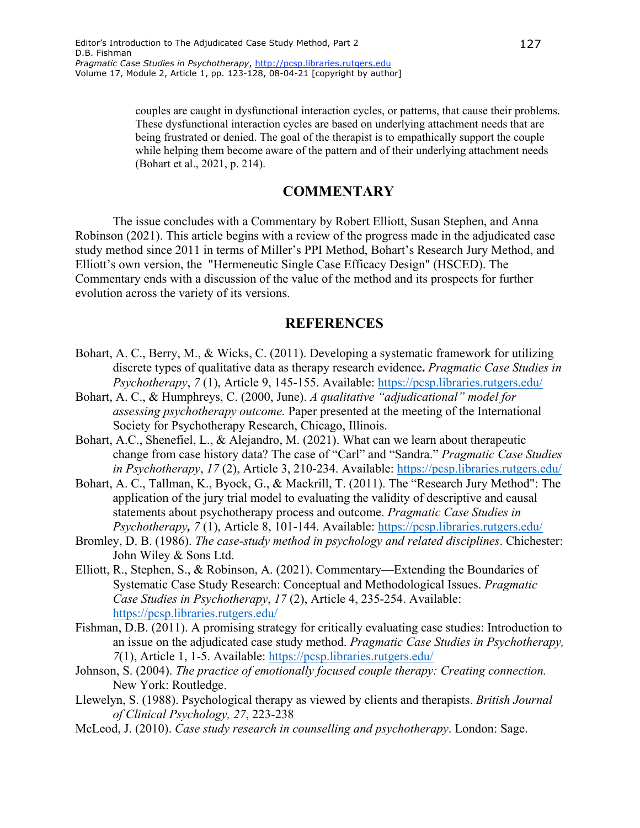couples are caught in dysfunctional interaction cycles, or patterns, that cause their problems. These dysfunctional interaction cycles are based on underlying attachment needs that are being frustrated or denied. The goal of the therapist is to empathically support the couple while helping them become aware of the pattern and of their underlying attachment needs (Bohart et al., 2021, p. 214).

# **COMMENTARY**

The issue concludes with a Commentary by Robert Elliott, Susan Stephen, and Anna Robinson (2021). This article begins with a review of the progress made in the adjudicated case study method since 2011 in terms of Miller's PPI Method, Bohart's Research Jury Method, and Elliott's own version, the "Hermeneutic Single Case Efficacy Design" (HSCED). The Commentary ends with a discussion of the value of the method and its prospects for further evolution across the variety of its versions.

### **REFERENCES**

- Bohart, A. C., Berry, M., & Wicks, C. (2011). Developing a systematic framework for utilizing discrete types of qualitative data as therapy research evidence**.** *Pragmatic Case Studies in Psychotherapy*, *7* (1), Article 9, 145-155. Available:<https://pcsp.libraries.rutgers.edu/>
- Bohart, A. C., & Humphreys, C. (2000, June). *A qualitative "adjudicational" model for assessing psychotherapy outcome.* Paper presented at the meeting of the International Society for Psychotherapy Research, Chicago, Illinois.
- Bohart, A.C., Shenefiel, L., & Alejandro, M. (2021). What can we learn about therapeutic change from case history data? The case of "Carl" and "Sandra." *Pragmatic Case Studies in Psychotherapy*, *17* (2), Article 3, 210-234. Available:<https://pcsp.libraries.rutgers.edu/>
- Bohart, A. C., Tallman, K., Byock, G., & Mackrill, T. (2011). The "Research Jury Method": The application of the jury trial model to evaluating the validity of descriptive and causal statements about psychotherapy process and outcome. *Pragmatic Case Studies in Psychotherapy, 7* (1), Article 8, 101-144. Available:<https://pcsp.libraries.rutgers.edu/>
- Bromley, D. B. (1986). *The case-study method in psychology and related disciplines*. Chichester: John Wiley & Sons Ltd.
- Elliott, R., Stephen, S., & Robinson, A. (2021). Commentary—Extending the Boundaries of Systematic Case Study Research: Conceptual and Methodological Issues. *Pragmatic Case Studies in Psychotherapy*, *17* (2), Article 4, 235-254. Available: <https://pcsp.libraries.rutgers.edu/>
- Fishman, D.B. (2011). A promising strategy for critically evaluating case studies: Introduction to an issue on the adjudicated case study method. *Pragmatic Case Studies in Psychotherapy, 7*(1), Article 1, 1-5. Available:<https://pcsp.libraries.rutgers.edu/>
- Johnson, S. (2004). *The practice of emotionally focused couple therapy: Creating connection.* New York: Routledge.
- Llewelyn, S. (1988). Psychological therapy as viewed by clients and therapists. *British Journal of Clinical Psychology, 27*, 223-238
- McLeod, J. (2010). *Case study research in counselling and psychotherapy*. London: Sage.